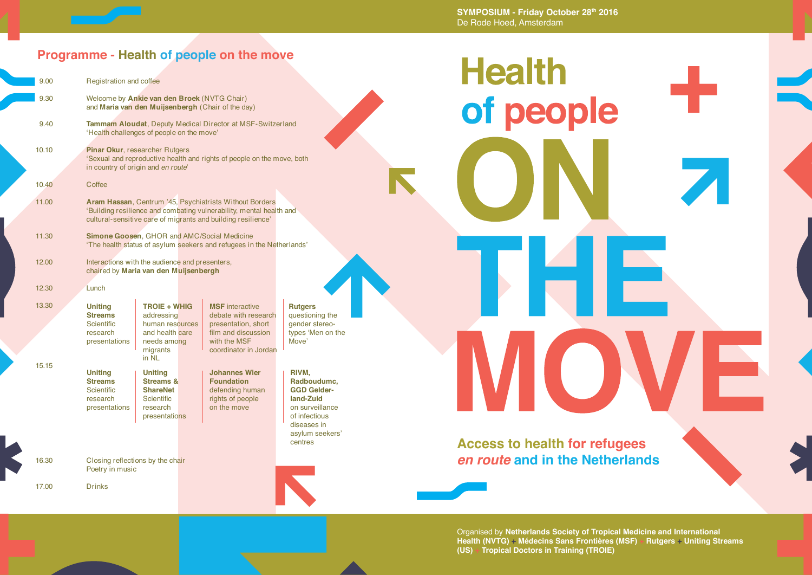**SYMPOSIUM - Friday October 28th 2016** De Rode Hoed, Amsterdam

### **Programme - Health of people on the move**

| 9.00  |                                                                                                                                                                                                       | Registration and coffee                                                                                              |                                                                                                                                       |                                                                                                                                          |  |  |  |
|-------|-------------------------------------------------------------------------------------------------------------------------------------------------------------------------------------------------------|----------------------------------------------------------------------------------------------------------------------|---------------------------------------------------------------------------------------------------------------------------------------|------------------------------------------------------------------------------------------------------------------------------------------|--|--|--|
| 9.30  |                                                                                                                                                                                                       | Welcome by Ankie van den Broek (NVTG Chair)<br>and Maria van den Muijsenbergh (Chair of the day)                     |                                                                                                                                       |                                                                                                                                          |  |  |  |
| 9.40  |                                                                                                                                                                                                       | <b>Tammam Aloudat, Deputy Medical Director at MSF-Switzerland</b><br>'Health challenges of people on the move'       |                                                                                                                                       |                                                                                                                                          |  |  |  |
| 10.10 | Pinar Okur, researcher Rutgers<br>'Sexual and reproductive health and rights of people on the move, both<br>in country of origin and en route'                                                        |                                                                                                                      |                                                                                                                                       |                                                                                                                                          |  |  |  |
| 10.40 | Coffee                                                                                                                                                                                                |                                                                                                                      |                                                                                                                                       |                                                                                                                                          |  |  |  |
| 11.00 | <b>Aram Hassan, Centrum '45, Psychiatrists Without Borders</b><br>'Building resilience and combating vulnerability, mental health and<br>cultural-sensitive care of migrants and building resilience' |                                                                                                                      |                                                                                                                                       |                                                                                                                                          |  |  |  |
| 11.30 |                                                                                                                                                                                                       | Simone Goosen, GHOR and AMC/Social Medicine<br>'The health status of asylum seekers and refugees in the Netherlands' |                                                                                                                                       |                                                                                                                                          |  |  |  |
| 12.00 | Interactions with the audience and presenters,<br>chaired by Maria van den Muijsenbergh                                                                                                               |                                                                                                                      |                                                                                                                                       |                                                                                                                                          |  |  |  |
| 12.30 | Lunch                                                                                                                                                                                                 |                                                                                                                      |                                                                                                                                       |                                                                                                                                          |  |  |  |
| 13.30 | <b>Uniting</b><br><b>Streams</b><br><b>Scientific</b><br>research<br>presentations                                                                                                                    | <b>TROIE + WHIG</b><br>addressing<br>human resources<br>and health care<br>needs among<br>migrants<br>in NL          | <b>MSF</b> interactive<br>debate with research<br>presentation, short<br>film and discussion<br>with the MSF<br>coordinator in Jordan | <b>Rutgers</b><br>questioning the<br>gender stereo-<br>types 'Men on the<br>Move'                                                        |  |  |  |
| 15.15 | <b>Uniting</b><br><b>Streams</b><br><b>Scientific</b><br>research<br>presentations                                                                                                                    | <b>Uniting</b><br><b>Streams &amp;</b><br><b>ShareNet</b><br><b>Scientific</b><br>research<br>presentations          | <b>Johannes Wier</b><br><b>Foundation</b><br>defending human<br>rights of people<br>on the move                                       | RIVM,<br>Radboudumc,<br><b>GGD Gelder-</b><br>land-Zuid<br>on surveillance<br>of infectious<br>diseases in<br>asylum seekers'<br>centres |  |  |  |
| 16.30 | Closing reflections by the chair<br>Poetry in music                                                                                                                                                   |                                                                                                                      |                                                                                                                                       |                                                                                                                                          |  |  |  |
| 17.00 | Drinks                                                                                                                                                                                                |                                                                                                                      |                                                                                                                                       |                                                                                                                                          |  |  |  |

# **Health** of people P E. I

## **Access to health for refugees**  *en route* **and in the Netherlands**

Organised by **Netherlands Society of Tropical Medicine and International Health (NVTG) + Médecins Sans Frontières (MSF) + Rutgers + Uniting Streams (US) + Tropical Doctors in Training (TROIE)**